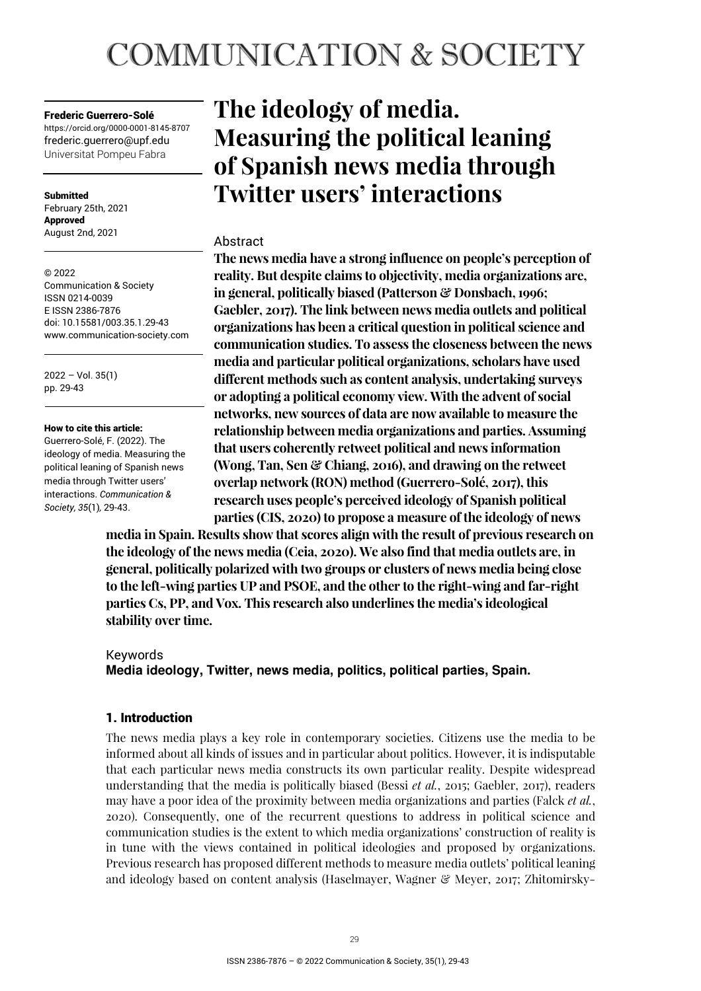# **COMMUNICATION & SOCIETY**

## Frederic Guerrero-Solé

https://orcid.org/0000-0001-8145-8707 frederic.guerrero@upf.edu Universitat Pompeu Fabra

**Submitted** February 25th, 2021 Approved August 2nd, 2021

© 2022 Communication & Society ISSN 0214-0039 E ISSN 2386-7876 doi: 10.15581/003.35.1.29-43 www.communication-society.com

2022 – Vol. 35(1) pp. 29-43

## How to cite this article:

Guerrero-Solé, F. (2022). The ideology of media. Measuring the political leaning of Spanish news media through Twitter users' interactions. *Communication & Society, 35*(1)*,* 29-43.

## **The ideology of media. Measuring the political leaning of Spanish news media through Twitter users' interactions**

## Abstract

**The news media have a strong influence on people's perception of reality. But despite claims to objectivity, media organizations are, in general, politically biased (Patterson & Donsbach, 1996; Gaebler, 2017). The link between news media outlets and political organizations has been a critical question in political science and communication studies. To assess the closeness between the news media and particular political organizations, scholars have used different methods such as content analysis, undertaking surveys or adopting a political economy view. With the advent of social networks, new sources of data are now available to measure the relationship between media organizations and parties. Assuming that users coherently retweet political and news information (Wong, Tan, Sen & Chiang, 2016), and drawing on the retweet overlap network (RON) method (Guerrero-Solé, 2017), this research uses people's perceived ideology of Spanish political parties (CIS, 2020) to propose a measure of the ideology of news** 

**media in Spain. Results show that scores align with the result of previous research on the ideology of the news media (Ceia, 2020). We also find that media outlets are, in general, politically polarized with two groups or clusters of news media being close to the left-wing parties UP and PSOE, and the other to the right-wing and far-right parties Cs, PP, and Vox. This research also underlines the media's ideological stability over time.** 

## Keywords

**Media ideology, Twitter, news media, politics, political parties, Spain.** 

## 1. Introduction

The news media plays a key role in contemporary societies. Citizens use the media to be informed about all kinds of issues and in particular about politics. However, it is indisputable that each particular news media constructs its own particular reality. Despite widespread understanding that the media is politically biased (Bessi *et al.*, 2015; Gaebler, 2017), readers may have a poor idea of the proximity between media organizations and parties (Falck *et al.*, 2020). Consequently, one of the recurrent questions to address in political science and communication studies is the extent to which media organizations' construction of reality is in tune with the views contained in political ideologies and proposed by organizations. Previous research has proposed different methods to measure media outlets' political leaning and ideology based on content analysis (Haselmayer, Wagner  $\mathcal{C}$  Meyer, 2017; Zhitomirsky-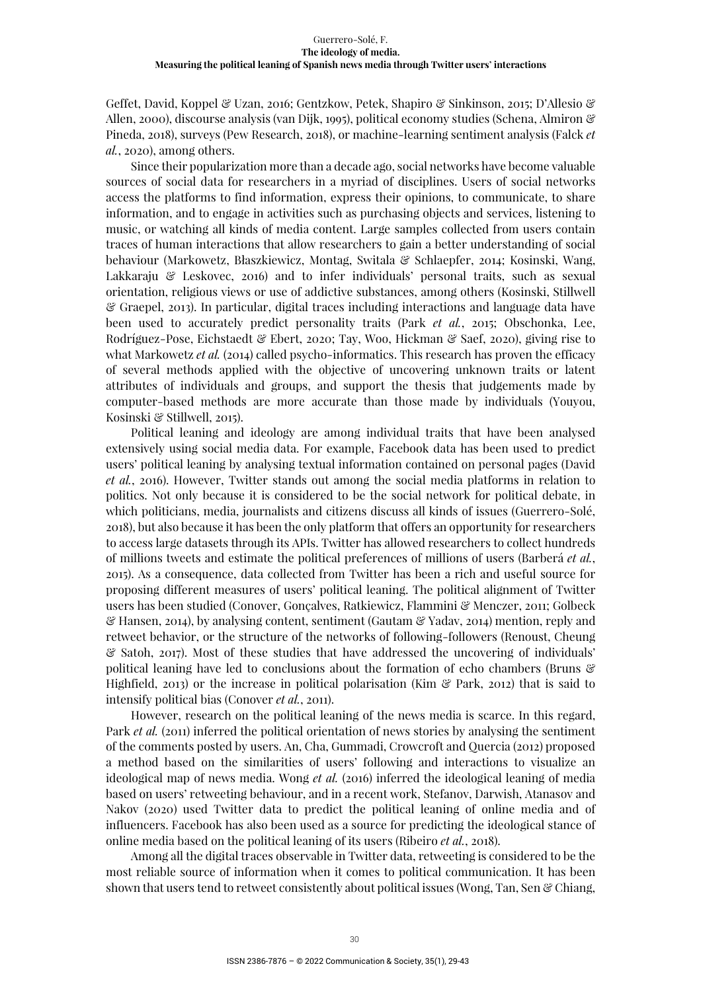Geffet, David, Koppel & Uzan, 2016; Gentzkow, Petek, Shapiro & Sinkinson, 2015; D'Allesio & Allen, 2000), discourse analysis (van Dijk, 1995), political economy studies (Schena, Almiron & Pineda, 2018), surveys (Pew Research, 2018), or machine-learning sentiment analysis (Falck *et al.*, 2020), among others.

Since their popularization more than a decade ago, social networks have become valuable sources of social data for researchers in a myriad of disciplines. Users of social networks access the platforms to find information, express their opinions, to communicate, to share information, and to engage in activities such as purchasing objects and services, listening to music, or watching all kinds of media content. Large samples collected from users contain traces of human interactions that allow researchers to gain a better understanding of social behaviour (Markowetz, Błaszkiewicz, Montag, Switala & Schlaepfer, 2014; Kosinski, Wang, Lakkaraju & Leskovec, 2016) and to infer individuals' personal traits, such as sexual orientation, religious views or use of addictive substances, among others (Kosinski, Stillwell & Graepel, 2013). In particular, digital traces including interactions and language data have been used to accurately predict personality traits (Park *et al.*, 2015; Obschonka, Lee, Rodríguez-Pose, Eichstaedt & Ebert, 2020; Tay, Woo, Hickman & Saef, 2020), giving rise to what Markowetz *et al.* (2014) called psycho-informatics. This research has proven the efficacy of several methods applied with the objective of uncovering unknown traits or latent attributes of individuals and groups, and support the thesis that judgements made by computer-based methods are more accurate than those made by individuals (Youyou, Kosinski & Stillwell, 2015).

Political leaning and ideology are among individual traits that have been analysed extensively using social media data. For example, Facebook data has been used to predict users' political leaning by analysing textual information contained on personal pages (David *et al.*, 2016). However, Twitter stands out among the social media platforms in relation to politics. Not only because it is considered to be the social network for political debate, in which politicians, media, journalists and citizens discuss all kinds of issues (Guerrero-Solé, 2018), but also because it has been the only platform that offers an opportunity for researchers to access large datasets through its APIs. Twitter has allowed researchers to collect hundreds of millions tweets and estimate the political preferences of millions of users (Barberá *et al.*, 2015). As a consequence, data collected from Twitter has been a rich and useful source for proposing different measures of users' political leaning. The political alignment of Twitter users has been studied (Conover, Gonçalves, Ratkiewicz, Flammini & Menczer, 2011; Golbeck & Hansen, 2014), by analysing content, sentiment (Gautam & Yadav, 2014) mention, reply and retweet behavior, or the structure of the networks of following-followers (Renoust, Cheung & Satoh, 2017). Most of these studies that have addressed the uncovering of individuals' political leaning have led to conclusions about the formation of echo chambers (Bruns & Highfield, 2013) or the increase in political polarisation (Kim  $\mathscr{E}$  Park, 2012) that is said to intensify political bias (Conover *et al.*, 2011).

However, research on the political leaning of the news media is scarce. In this regard, Park *et al.* (2011) inferred the political orientation of news stories by analysing the sentiment of the comments posted by users. An, Cha, Gummadi, Crowcroft and Quercia (2012) proposed a method based on the similarities of users' following and interactions to visualize an ideological map of news media. Wong et al. (2016) inferred the ideological leaning of media based on users' retweeting behaviour, and in a recent work, Stefanov, Darwish, Atanasov and Nakov (2020) used Twitter data to predict the political leaning of online media and of influencers. Facebook has also been used as a source for predicting the ideological stance of online media based on the political leaning of its users (Ribeiro *et al.*, 2018).

Among all the digital traces observable in Twitter data, retweeting is considered to be the most reliable source of information when it comes to political communication. It has been shown that users tend to retweet consistently about political issues (Wong, Tan, Sen & Chiang,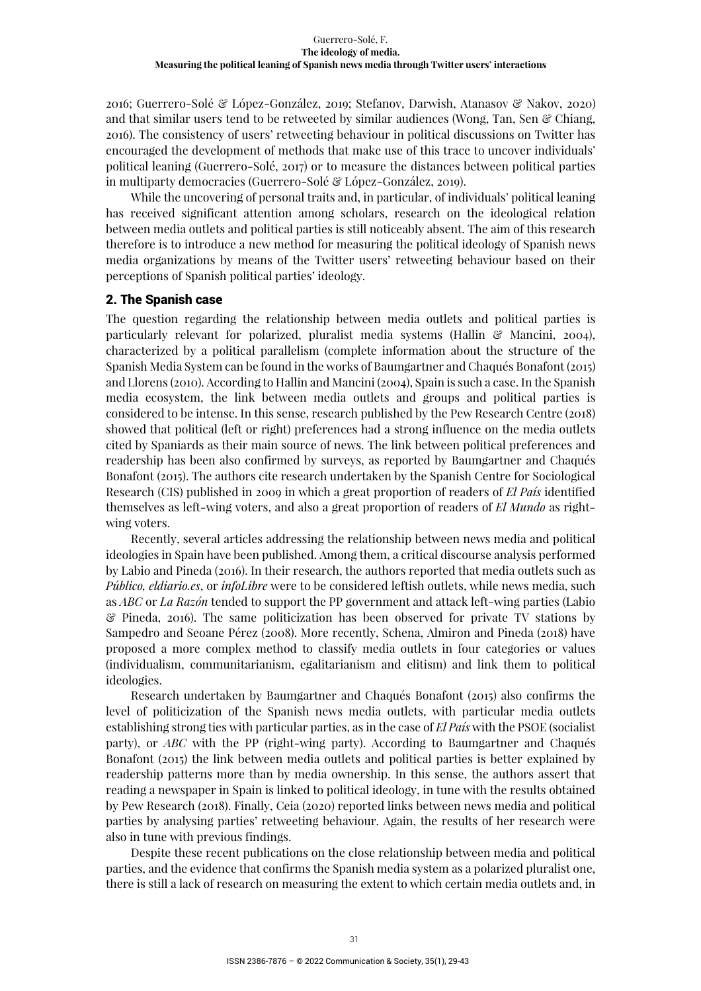2016; Guerrero-Solé & López-González, 2019; Stefanov, Darwish, Atanasov & Nakov, 2020) and that similar users tend to be retweeted by similar audiences (Wong, Tan, Sen  $\mathscr{C}$  Chiang, 2016). The consistency of users' retweeting behaviour in political discussions on Twitter has encouraged the development of methods that make use of this trace to uncover individuals' political leaning (Guerrero-Solé, 2017) or to measure the distances between political parties in multiparty democracies (Guerrero-Solé & López-González, 2019).

While the uncovering of personal traits and, in particular, of individuals' political leaning has received significant attention among scholars, research on the ideological relation between media outlets and political parties is still noticeably absent. The aim of this research therefore is to introduce a new method for measuring the political ideology of Spanish news media organizations by means of the Twitter users' retweeting behaviour based on their perceptions of Spanish political parties' ideology.

## 2. The Spanish case

The question regarding the relationship between media outlets and political parties is particularly relevant for polarized, pluralist media systems (Hallin  $\mathcal C$  Mancini, 2004), characterized by a political parallelism (complete information about the structure of the Spanish Media System can be found in the works of Baumgartner and Chaqués Bonafont (2015) and Llorens (2010). According to Hallin and Mancini (2004), Spain is such a case. In the Spanish media ecosystem, the link between media outlets and groups and political parties is considered to be intense. In this sense, research published by the Pew Research Centre (2018) showed that political (left or right) preferences had a strong influence on the media outlets cited by Spaniards as their main source of news. The link between political preferences and readership has been also confirmed by surveys, as reported by Baumgartner and Chaqués Bonafont (2015). The authors cite research undertaken by the Spanish Centre for Sociological Research (CIS) published in 2009 in which a great proportion of readers of *El País* identified themselves as left-wing voters, and also a great proportion of readers of *El Mundo* as rightwing voters.

Recently, several articles addressing the relationship between news media and political ideologies in Spain have been published. Among them, a critical discourse analysis performed by Labio and Pineda (2016). In their research, the authors reported that media outlets such as *Público, eldiario.es*, or *infoLibre* were to be considered leftish outlets, while news media, such as *ABC* or *La Razón* tended to support the PP government and attack left-wing parties (Labio & Pineda, 2016). The same politicization has been observed for private TV stations by Sampedro and Seoane Pérez (2008). More recently, Schena, Almiron and Pineda (2018) have proposed a more complex method to classify media outlets in four categories or values (individualism, communitarianism, egalitarianism and elitism) and link them to political ideologies.

Research undertaken by Baumgartner and Chaqués Bonafont (2015) also confirms the level of politicization of the Spanish news media outlets, with particular media outlets establishing strong ties with particular parties, as in the case of *El País* with the PSOE (socialist party), or *ABC* with the PP (right-wing party). According to Baumgartner and Chaqués Bonafont (2015) the link between media outlets and political parties is better explained by readership patterns more than by media ownership. In this sense, the authors assert that reading a newspaper in Spain is linked to political ideology, in tune with the results obtained by Pew Research (2018). Finally, Ceia (2020) reported links between news media and political parties by analysing parties' retweeting behaviour. Again, the results of her research were also in tune with previous findings.

Despite these recent publications on the close relationship between media and political parties, and the evidence that confirms the Spanish media system as a polarized pluralist one, there is still a lack of research on measuring the extent to which certain media outlets and, in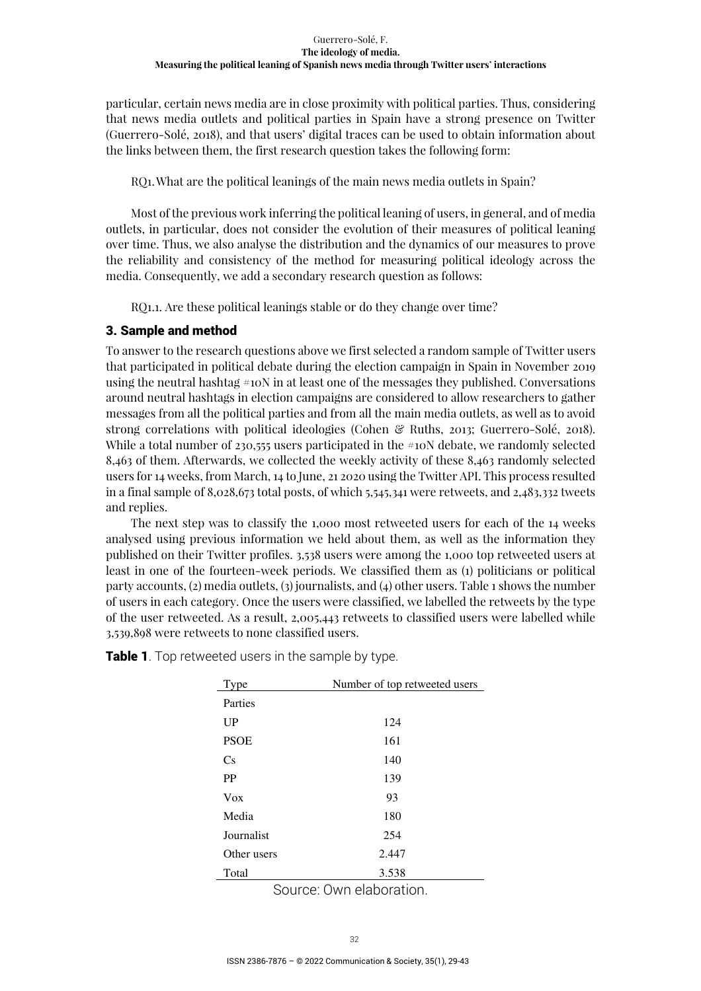particular, certain news media are in close proximity with political parties. Thus, considering that news media outlets and political parties in Spain have a strong presence on Twitter (Guerrero-Solé, 2018), and that users' digital traces can be used to obtain information about the links between them, the first research question takes the following form:

RQ1. What are the political leanings of the main news media outlets in Spain?

Most of the previous work inferring the political leaning of users, in general, and of media outlets, in particular, does not consider the evolution of their measures of political leaning over time. Thus, we also analyse the distribution and the dynamics of our measures to prove the reliability and consistency of the method for measuring political ideology across the media. Consequently, we add a secondary research question as follows:

RO1.1. Are these political leanings stable or do they change over time?

## 3. Sample and method

To answer to the research questions above we first selected a random sample of Twitter users that participated in political debate during the election campaign in Spain in November 2019 using the neutral hashtag #10N in at least one of the messages they published. Conversations around neutral hashtags in election campaigns are considered to allow researchers to gather messages from all the political parties and from all the main media outlets, as well as to avoid strong correlations with political ideologies (Cohen & Ruths, 2013; Guerrero-Solé, 2018). While a total number of 230,555 users participated in the  $\#10N$  debate, we randomly selected 8,463 of them. Afterwards, we collected the weekly activity of these 8,463 randomly selected users for 14 weeks, from March, 14 to June, 21 2020 using the Twitter API. This process resulted in a final sample of 8,028,673 total posts, of which 5,545,341 were retweets, and 2,483,332 tweets and replies.

The next step was to classify the 1,000 most retweeted users for each of the 14 weeks analysed using previous information we held about them, as well as the information they published on their Twitter profiles. 3,538 users were among the 1,000 top retweeted users at least in one of the fourteen-week periods. We classified them as (1) politicians or political party accounts, (2) media outlets, (3) journalists, and (4) other users. Table 1 shows the number of users in each category. Once the users were classified, we labelled the retweets by the type of the user retweeted. As a result, 2,005,443 retweets to classified users were labelled while 3,539,898 were retweets to none classified users.

| Type        | Number of top retweeted users |
|-------------|-------------------------------|
| Parties     |                               |
| <b>UP</b>   | 124                           |
| <b>PSOE</b> | 161                           |
| Cs          | 140                           |
| <b>PP</b>   | 139                           |
| Vox         | 93                            |
| Media       | 180                           |
| Journalist  | 254                           |
| Other users | 2.447                         |
| Total       | 3.538                         |

**Table 1**. Top retweeted users in the sample by type.

Source: Own elaboration.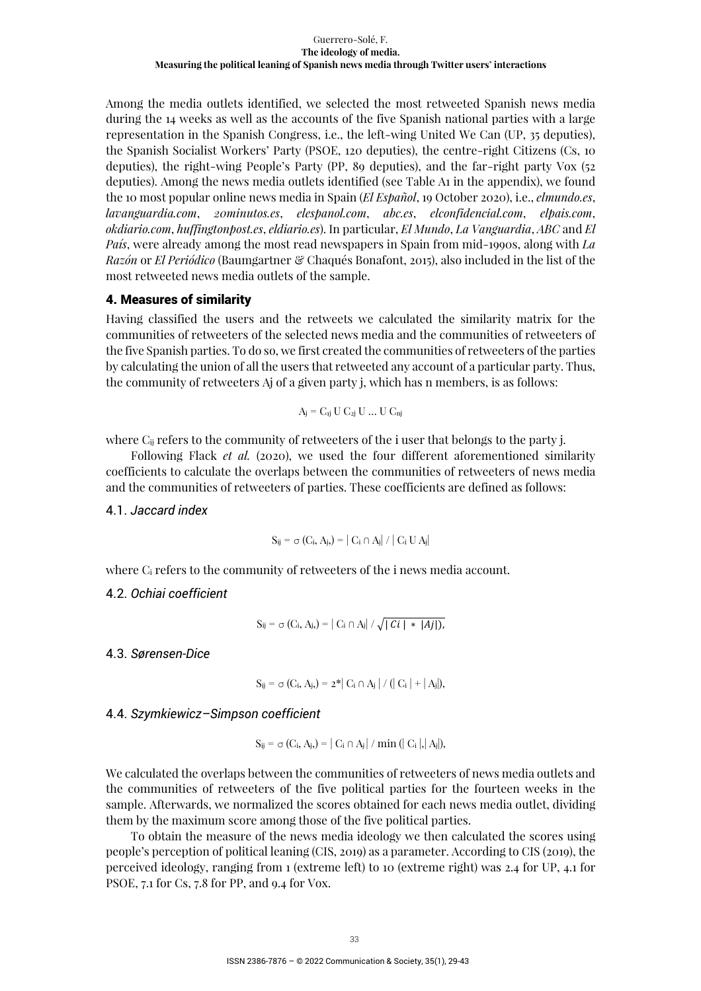Among the media outlets identified, we selected the most retweeted Spanish news media during the 14 weeks as well as the accounts of the five Spanish national parties with a large representation in the Spanish Congress, i.e., the left-wing United We Can (UP, 35 deputies), the Spanish Socialist Workers' Party (PSOE, 120 deputies), the centre-right Citizens (Cs, 10 deputies), the right-wing People's Party (PP, 89 deputies), and the far-right party Vox (52 deputies). Among the news media outlets identified (see Table A1 in the appendix), we found the 10 most popular online news media in Spain (*El Español*, 19 October 2020), i.e., *elmundo.es*, *lavanguardia.com*, *20minutos.es*, *elespanol.com*, *abc.es*, *elconfidencial.com*, *elpais.com*, *okdiario.com*, *huffingtonpost.es*, *eldiario.es*). In particular, *El Mundo*, *La Vanguardia*, *ABC* and *El País*, were already among the most read newspapers in Spain from mid-1990s, along with *La Razón* or *El Periódico* (Baumgartner & Chaqués Bonafont, 2015), also included in the list of the most retweeted news media outlets of the sample.

## 4. Measures of similarity

Having classified the users and the retweets we calculated the similarity matrix for the communities of retweeters of the selected news media and the communities of retweeters of the five Spanish parties. To do so, we first created the communities of retweeters of the parties by calculating the union of all the users that retweeted any account of a particular party. Thus, the community of retweeters Aj of a given party j, which has n members, is as follows:

$$
A_j = C_{ij} U C_{2j} U \dots U C_{nj}
$$

where  $C_{ij}$  refers to the community of retweeters of the i user that belongs to the party j.

Following Flack *et al.* (2020), we used the four different aforementioned similarity coefficients to calculate the overlaps between the communities of retweeters of news media and the communities of retweeters of parties. These coefficients are defined as follows:

4.1. *Jaccard index* 

$$
S_{ij} = \sigma(C_i, A_j) = |C_i \cap A_j| / |C_i U A_j|
$$

where  $C_i$  refers to the community of retweeters of the i news media account.

4.2. *Ochiai coefficient* 

$$
S_{ij} = \sigma(C_i, A_j) = |C_i \cap A_j| / \sqrt{|C_i| * |A_j|},
$$

4.3. *Sørensen-Dice* 

$$
S_{ij} = \sigma(C_i, A_j) = 2^* | C_i \cap A_j | / (| C_i | + | A_j |),
$$

4.4. *Szymkiewicz–Simpson coefficient* 

$$
S_{ij} = \sigma(C_i, A_j) = |C_i \cap A_j| / min (|C_i|, |A_j|),
$$

We calculated the overlaps between the communities of retweeters of news media outlets and the communities of retweeters of the five political parties for the fourteen weeks in the sample. Afterwards, we normalized the scores obtained for each news media outlet, dividing them by the maximum score among those of the five political parties.

To obtain the measure of the news media ideology we then calculated the scores using people's perception of political leaning (CIS, 2019) as a parameter. According to CIS (2019), the perceived ideology, ranging from 1 (extreme left) to 10 (extreme right) was 2.4 for UP, 4.1 for PSOE, 7.1 for Cs, 7.8 for PP, and 9.4 for Vox.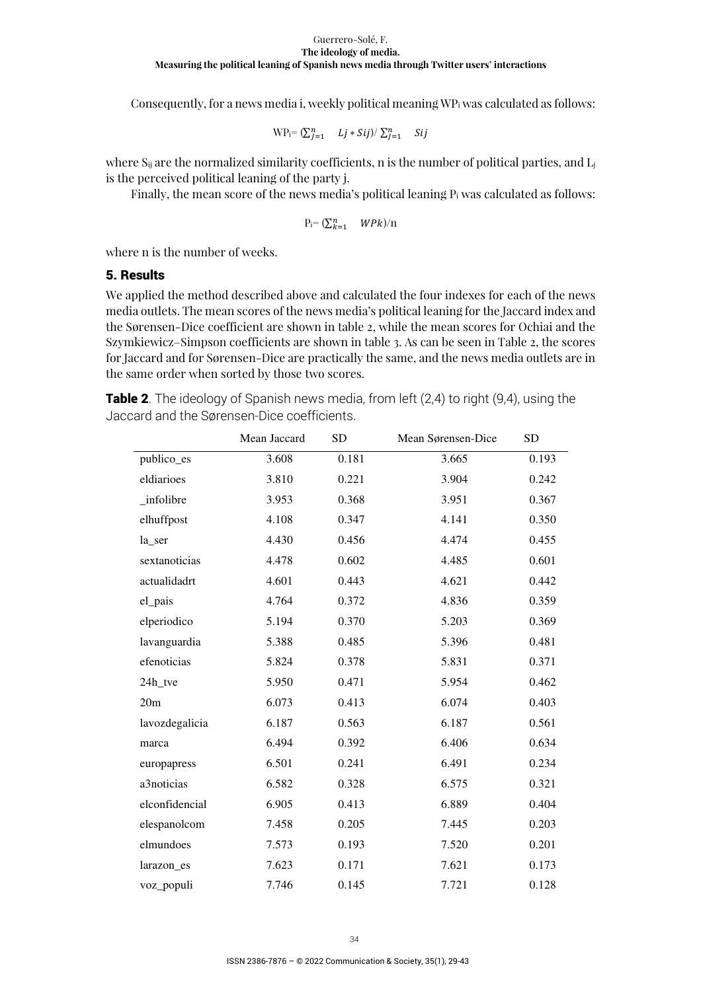Consequently, for a news media i, weekly political meaning  $WP_i$  was calculated as follows:

$$
WP_i = (\sum_{j=1}^n Lj * Sij) / \sum_{j=1}^n Sij
$$

where  $S_{ii}$  are the normalized similarity coefficients, n is the number of political parties, and  $L_i$ is the perceived political leaning of the party j.

Finally, the mean score of the news media's political leaning  $P_i$  was calculated as follows:

$$
\mathrm{P}_\mathrm{i}\text{=}\,(\Sigma^n_{k=1}\quad\text{WPR})/\mathrm{n}
$$

where n is the number of weeks.

## 5. Results

We applied the method described above and calculated the four indexes for each of the news media outlets. The mean scores of the news media's political leaning for the Jaccard index and the Sørensen-Dice coefficient are shown in table 2, while the mean scores for Ochiai and the Szymkiewicz–Simpson coefficients are shown in table 3. As can be seen in Table 2, the scores for Jaccard and for Sørensen-Dice are practically the same, and the news media outlets are in the same order when sorted by those two scores.

**Table 2**. The ideology of Spanish news media, from left (2,4) to right (9,4), using the Jaccard and the Sørensen-Dice coefficients.

|                | Mean Jaccard | <b>SD</b> | Mean Sørensen-Dice | <b>SD</b> |
|----------------|--------------|-----------|--------------------|-----------|
| publico_es     | 3.608        | 0.181     | 3.665              | 0.193     |
| eldiarioes     | 3.810        | 0.221     | 3.904              | 0.242     |
| _infolibre     | 3.953        | 0.368     | 3.951              | 0.367     |
| elhuffpost     | 4.108        | 0.347     | 4.141              | 0.350     |
| la_ser         | 4.430        | 0.456     | 4.474              | 0.455     |
| sextanoticias  | 4.478        | 0.602     | 4.485              | 0.601     |
| actualidadrt   | 4.601        | 0.443     | 4.621              | 0.442     |
| el_pais        | 4.764        | 0.372     | 4.836              | 0.359     |
| elperiodico    | 5.194        | 0.370     | 5.203              | 0.369     |
| lavanguardia   | 5.388        | 0.485     | 5.396              | 0.481     |
| efenoticias    | 5.824        | 0.378     | 5.831              | 0.371     |
| 24h_tve        | 5.950        | 0.471     | 5.954              | 0.462     |
| 20m            | 6.073        | 0.413     | 6.074              | 0.403     |
| lavozdegalicia | 6.187        | 0.563     | 6.187              | 0.561     |
| marca          | 6.494        | 0.392     | 6.406              | 0.634     |
| europapress    | 6.501        | 0.241     | 6.491              | 0.234     |
| a3noticias     | 6.582        | 0.328     | 6.575              | 0.321     |
| elconfidencial | 6.905        | 0.413     | 6.889              | 0.404     |
| elespanolcom   | 7.458        | 0.205     | 7.445              | 0.203     |
| elmundoes      | 7.573        | 0.193     | 7.520              | 0.201     |
| larazon_es     | 7.623        | 0.171     | 7.621              | 0.173     |
| voz_populi     | 7.746        | 0.145     | 7.721              | 0.128     |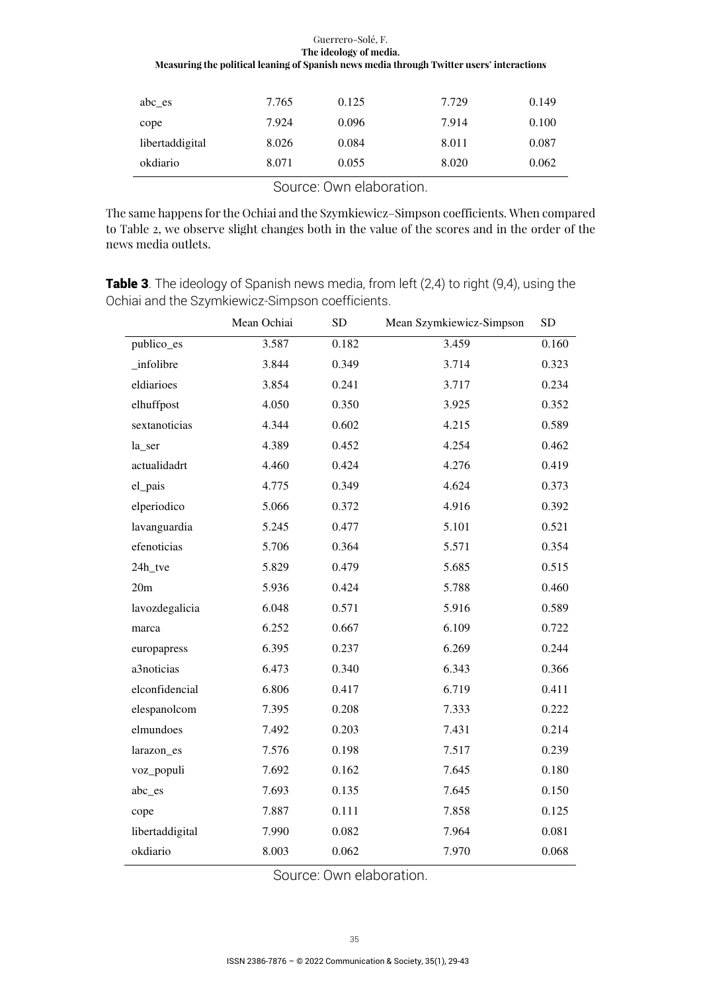| okdiario        | 8.071 | 0.055 | 8.020 | 0.062 |
|-----------------|-------|-------|-------|-------|
| libertaddigital | 8.026 | 0.084 | 8.011 | 0.087 |
| cope            | 7.924 | 0.096 | 7.914 | 0.100 |
| abc es          | 7.765 | 0.125 | 7.729 | 0.149 |

Source: Own elaboration.

The same happens for the Ochiai and the Szymkiewicz–Simpson coefficients. When compared to Table 2, we observe slight changes both in the value of the scores and in the order of the news media outlets.

**Table 3**. The ideology of Spanish news media, from left (2,4) to right (9,4), using the Ochiai and the Szymkiewicz-Simpson coefficients.

|                 | Mean Ochiai | <b>SD</b> | Mean Szymkiewicz-Simpson | <b>SD</b> |
|-----------------|-------------|-----------|--------------------------|-----------|
| publico_es      | 3.587       | 0.182     | 3.459                    | 0.160     |
| _infolibre      | 3.844       | 0.349     | 3.714                    | 0.323     |
| eldiarioes      | 3.854       | 0.241     | 3.717                    | 0.234     |
| elhuffpost      | 4.050       | 0.350     | 3.925                    | 0.352     |
| sextanoticias   | 4.344       | 0.602     | 4.215                    | 0.589     |
| la_ser          | 4.389       | 0.452     | 4.254                    | 0.462     |
| actualidadrt    | 4.460       | 0.424     | 4.276                    | 0.419     |
| el_pais         | 4.775       | 0.349     | 4.624                    | 0.373     |
| elperiodico     | 5.066       | 0.372     | 4.916                    | 0.392     |
| lavanguardia    | 5.245       | 0.477     | 5.101                    | 0.521     |
| efenoticias     | 5.706       | 0.364     | 5.571                    | 0.354     |
| 24h_tve         | 5.829       | 0.479     | 5.685                    | 0.515     |
| 20m             | 5.936       | 0.424     | 5.788                    | 0.460     |
| lavozdegalicia  | 6.048       | 0.571     | 5.916                    | 0.589     |
| marca           | 6.252       | 0.667     | 6.109                    | 0.722     |
| europapress     | 6.395       | 0.237     | 6.269                    | 0.244     |
| a3noticias      | 6.473       | 0.340     | 6.343                    | 0.366     |
| elconfidencial  | 6.806       | 0.417     | 6.719                    | 0.411     |
| elespanolcom    | 7.395       | 0.208     | 7.333                    | 0.222     |
| elmundoes       | 7.492       | 0.203     | 7.431                    | 0.214     |
| larazon_es      | 7.576       | 0.198     | 7.517                    | 0.239     |
| voz_populi      | 7.692       | 0.162     | 7.645                    | 0.180     |
| abc_es          | 7.693       | 0.135     | 7.645                    | 0.150     |
| cope            | 7.887       | 0.111     | 7.858                    | 0.125     |
| libertaddigital | 7.990       | 0.082     | 7.964                    | 0.081     |
| okdiario        | 8.003       | 0.062     | 7.970                    | 0.068     |

Source: Own elaboration.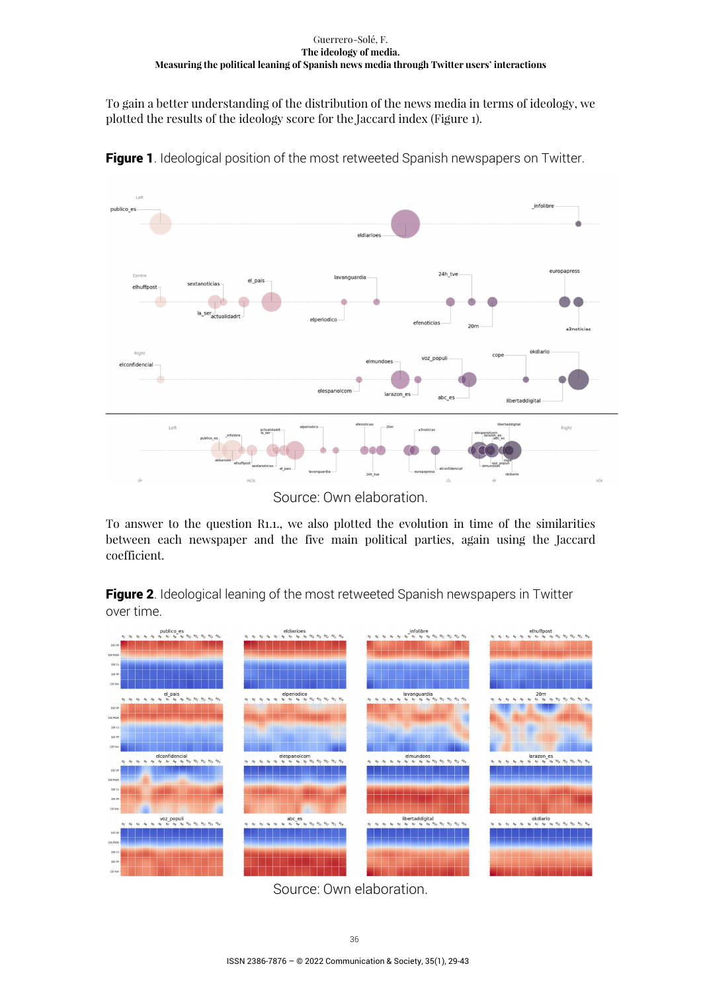To gain a better understanding of the distribution of the news media in terms of ideology, we plotted the results of the ideology score for the Jaccard index (Figure 1).



**Figure 1**. Ideological position of the most retweeted Spanish newspapers on Twitter.

To answer to the question R1.1., we also plotted the evolution in time of the similarities between each newspaper and the five main political parties, again using the Jaccard coefficient.

Figure 2. Ideological leaning of the most retweeted Spanish newspapers in Twitter over time.



Source: Own elaboration.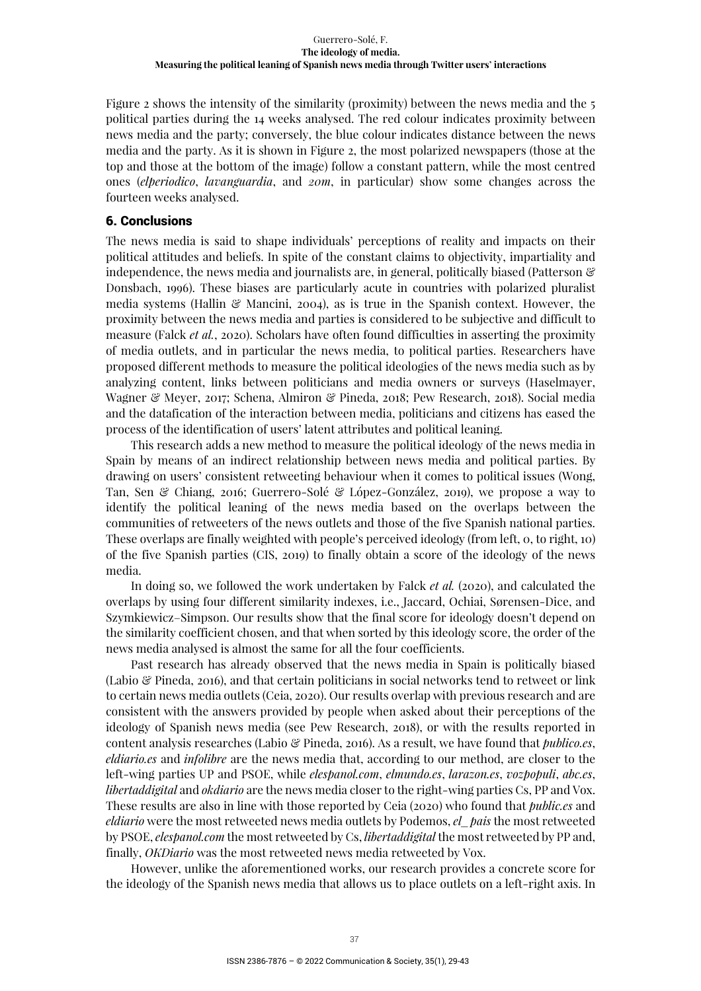Figure 2 shows the intensity of the similarity (proximity) between the news media and the 5 political parties during the 14 weeks analysed. The red colour indicates proximity between news media and the party; conversely, the blue colour indicates distance between the news media and the party. As it is shown in Figure 2, the most polarized newspapers (those at the top and those at the bottom of the image) follow a constant pattern, while the most centred ones (*elperiodico*, *lavanguardia*, and *20m*, in particular) show some changes across the fourteen weeks analysed.

## 6. Conclusions

The news media is said to shape individuals' perceptions of reality and impacts on their political attitudes and beliefs. In spite of the constant claims to objectivity, impartiality and independence, the news media and journalists are, in general, politically biased (Patterson & Donsbach, 1996). These biases are particularly acute in countries with polarized pluralist media systems (Hallin  $\mathcal{C}$  Mancini, 2004), as is true in the Spanish context. However, the proximity between the news media and parties is considered to be subjective and difficult to measure (Falck *et al.*, 2020). Scholars have often found difficulties in asserting the proximity of media outlets, and in particular the news media, to political parties. Researchers have proposed different methods to measure the political ideologies of the news media such as by analyzing content, links between politicians and media owners or surveys (Haselmayer, Wagner & Meyer, 2017; Schena, Almiron & Pineda, 2018; Pew Research, 2018). Social media and the datafication of the interaction between media, politicians and citizens has eased the process of the identification of users' latent attributes and political leaning.

This research adds a new method to measure the political ideology of the news media in Spain by means of an indirect relationship between news media and political parties. By drawing on users' consistent retweeting behaviour when it comes to political issues (Wong, Tan, Sen & Chiang, 2016; Guerrero-Solé & López-González, 2019), we propose a way to identify the political leaning of the news media based on the overlaps between the communities of retweeters of the news outlets and those of the five Spanish national parties. These overlaps are finally weighted with people's perceived ideology (from left, 0, to right, 10) of the five Spanish parties (CIS, 2019) to finally obtain a score of the ideology of the news media.

In doing so, we followed the work undertaken by Falck *et al.* (2020), and calculated the overlaps by using four different similarity indexes, i.e., Jaccard, Ochiai, Sørensen-Dice, and Szymkiewicz–Simpson. Our results show that the final score for ideology doesn't depend on the similarity coefficient chosen, and that when sorted by this ideology score, the order of the news media analysed is almost the same for all the four coefficients.

Past research has already observed that the news media in Spain is politically biased (Labio & Pineda, 2016), and that certain politicians in social networks tend to retweet or link to certain news media outlets (Ceia, 2020). Our results overlap with previous research and are consistent with the answers provided by people when asked about their perceptions of the ideology of Spanish news media (see Pew Research, 2018), or with the results reported in content analysis researches (Labio & Pineda, 2016). As a result, we have found that *publico.es*, *eldiario.es* and *infolibre* are the news media that, according to our method, are closer to the left-wing parties UP and PSOE, while *elespanol.com*, *elmundo.es*, *larazon.es*, *vozpopuli*, *abc.es*, *libertaddigital* and *okdiario* are the news media closer to the right-wing parties Cs, PP and Vox. These results are also in line with those reported by Ceia (2020) who found that *public.es* and *eldiario* were the most retweeted news media outlets by Podemos, *el\_pais* the most retweeted by PSOE, *elespanol.com* the most retweeted by Cs, *libertaddigital* the most retweeted by PP and, finally, *OKDiario* was the most retweeted news media retweeted by Vox.

However, unlike the aforementioned works, our research provides a concrete score for the ideology of the Spanish news media that allows us to place outlets on a left-right axis. In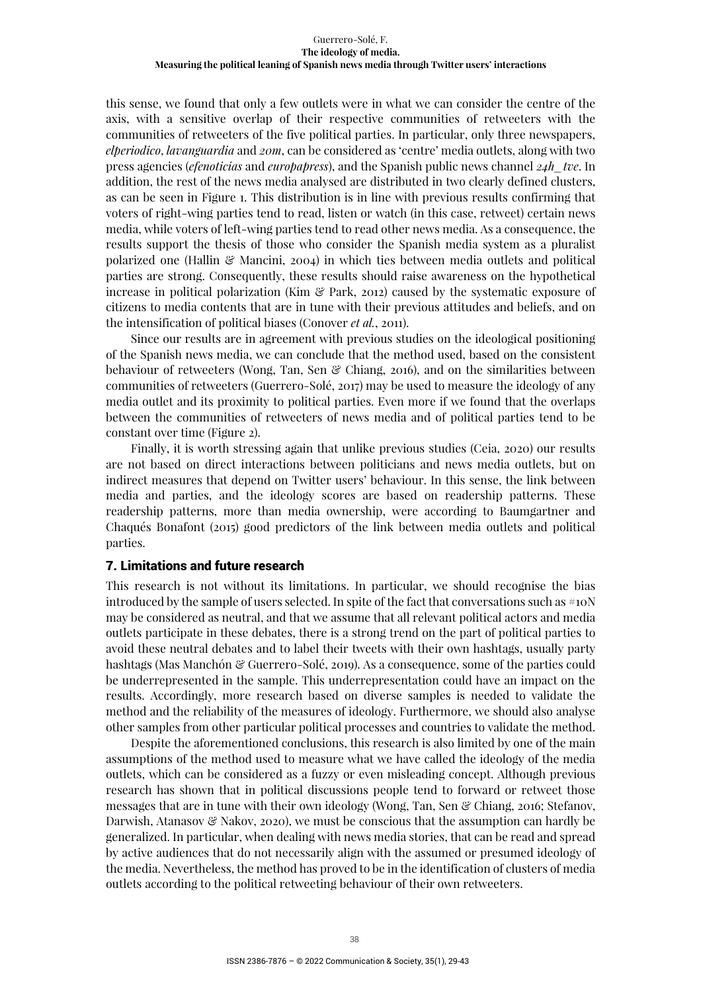this sense, we found that only a few outlets were in what we can consider the centre of the axis, with a sensitive overlap of their respective communities of retweeters with the communities of retweeters of the five political parties. In particular, only three newspapers, *elperiodico*, *lavanguardia* and *20m*, can be considered as 'centre' media outlets, along with two press agencies (*efenoticias* and *europapress*), and the Spanish public news channel *24h\_tve*. In addition, the rest of the news media analysed are distributed in two clearly defined clusters, as can be seen in Figure 1. This distribution is in line with previous results confirming that voters of right-wing parties tend to read, listen or watch (in this case, retweet) certain news media, while voters of left-wing parties tend to read other news media. As a consequence, the results support the thesis of those who consider the Spanish media system as a pluralist polarized one (Hallin  $\mathcal{C}$  Mancini, 2004) in which ties between media outlets and political parties are strong. Consequently, these results should raise awareness on the hypothetical increase in political polarization (Kim & Park, 2012) caused by the systematic exposure of citizens to media contents that are in tune with their previous attitudes and beliefs, and on the intensification of political biases (Conover *et al.*, 2011).

Since our results are in agreement with previous studies on the ideological positioning of the Spanish news media, we can conclude that the method used, based on the consistent behaviour of retweeters (Wong, Tan, Sen & Chiang, 2016), and on the similarities between communities of retweeters (Guerrero-Solé, 2017) may be used to measure the ideology of any media outlet and its proximity to political parties. Even more if we found that the overlaps between the communities of retweeters of news media and of political parties tend to be constant over time (Figure 2).

Finally, it is worth stressing again that unlike previous studies (Ceia, 2020) our results are not based on direct interactions between politicians and news media outlets, but on indirect measures that depend on Twitter users' behaviour. In this sense, the link between media and parties, and the ideology scores are based on readership patterns. These readership patterns, more than media ownership, were according to Baumgartner and Chaqués Bonafont (2015) good predictors of the link between media outlets and political parties.

## 7. Limitations and future research

This research is not without its limitations. In particular, we should recognise the bias introduced by the sample of users selected. In spite of the fact that conversations such as  $\#10N$ may be considered as neutral, and that we assume that all relevant political actors and media outlets participate in these debates, there is a strong trend on the part of political parties to avoid these neutral debates and to label their tweets with their own hashtags, usually party hashtags (Mas Manchón & Guerrero-Solé, 2019). As a consequence, some of the parties could be underrepresented in the sample. This underrepresentation could have an impact on the results. Accordingly, more research based on diverse samples is needed to validate the method and the reliability of the measures of ideology. Furthermore, we should also analyse other samples from other particular political processes and countries to validate the method.

Despite the aforementioned conclusions, this research is also limited by one of the main assumptions of the method used to measure what we have called the ideology of the media outlets, which can be considered as a fuzzy or even misleading concept. Although previous research has shown that in political discussions people tend to forward or retweet those messages that are in tune with their own ideology (Wong, Tan, Sen & Chiang, 2016; Stefanov, Darwish, Atanasov & Nakov, 2020), we must be conscious that the assumption can hardly be generalized. In particular, when dealing with news media stories, that can be read and spread by active audiences that do not necessarily align with the assumed or presumed ideology of the media. Nevertheless, the method has proved to be in the identification of clusters of media outlets according to the political retweeting behaviour of their own retweeters.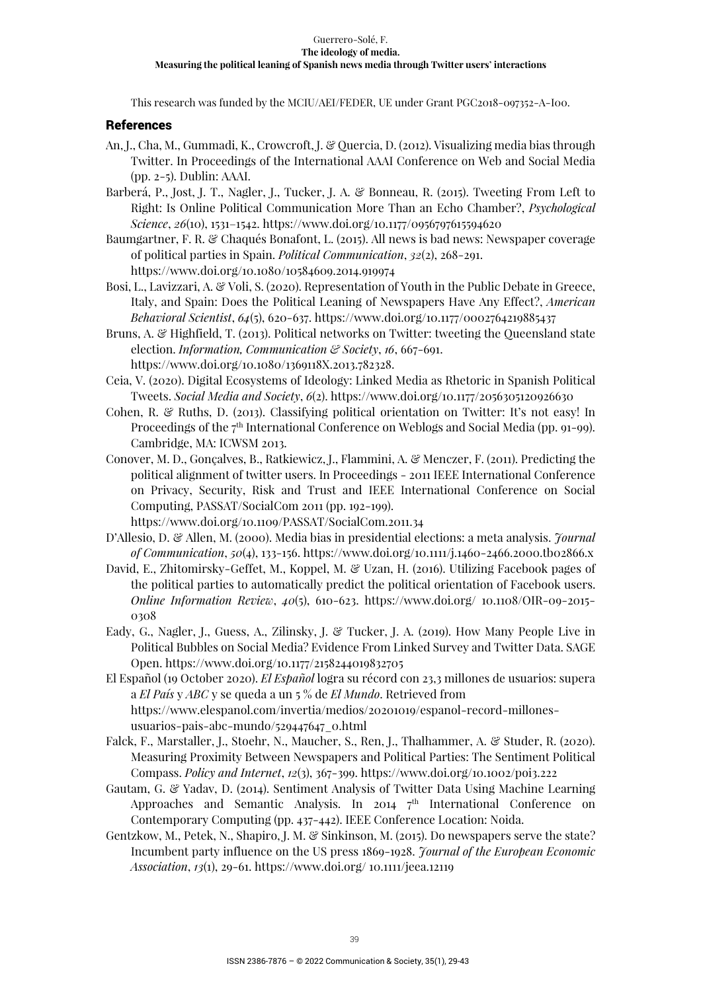This research was funded by the MCIU/AEI/FEDER, UE under Grant PGC2018-097352-A-I00.

## References

- An, J., Cha, M., Gummadi, K., Crowcroft, J. & Quercia, D. (2012). Visualizing media bias through Twitter. In Proceedings of the International AAAI Conference on Web and Social Media (pp. 2-5). Dublin: AAAI.
- Barberá, P., Jost, J. T., Nagler, J., Tucker, J. A. & Bonneau, R. (2015). Tweeting From Left to Right: Is Online Political Communication More Than an Echo Chamber?, *Psychological Science*, *26*(10), 1531–1542. https://www.doi.org/10.1177/0956797615594620
- Baumgartner, F. R. & Chaqués Bonafont, L. (2015). All news is bad news: Newspaper coverage of political parties in Spain. *Political Communication*, *32*(2), 268-291. https://www.doi.org/10.1080/10584609.2014.919974
- Bosi, L., Lavizzari, A. & Voli, S. (2020). Representation of Youth in the Public Debate in Greece, Italy, and Spain: Does the Political Leaning of Newspapers Have Any Effect?, *American Behavioral Scientist*, *64*(5), 620-637. https://www.doi.org/10.1177/0002764219885437
- Bruns, A. & Highfield, T. (2013). Political networks on Twitter: tweeting the Queensland state election. *Information, Communication & Society*, *16*, 667-691. https://www.doi.org/10.1080/1369118X.2013.782328.
- Ceia, V. (2020). Digital Ecosystems of Ideology: Linked Media as Rhetoric in Spanish Political Tweets. *Social Media and Society*, *6*(2). https://www.doi.org/10.1177/2056305120926630
- Cohen, R. & Ruths, D. (2013). Classifying political orientation on Twitter: It's not easy! In Proceedings of the 7<sup>th</sup> International Conference on Weblogs and Social Media (pp. 91-99). Cambridge, MA: ICWSM 2013.
- Conover, M. D., Gonçalves, B., Ratkiewicz, J., Flammini, A. & Menczer, F. (2011). Predicting the political alignment of twitter users. In Proceedings - 2011 IEEE International Conference on Privacy, Security, Risk and Trust and IEEE International Conference on Social Computing, PASSAT/SocialCom 2011 (pp. 192-199).

https://www.doi.org/10.1109/PASSAT/SocialCom.2011.34

- D'Allesio, D. & Allen, M. (2000). Media bias in presidential elections: a meta analysis. *Journal of Communication*, *50*(4), 133-156. https://www.doi.org/10.1111/j.1460-2466.2000.tb02866.x
- David, E., Zhitomirsky-Geffet, M., Koppel, M. & Uzan, H. (2016). Utilizing Facebook pages of the political parties to automatically predict the political orientation of Facebook users. *Online Information Review*, *40*(5), 610-623. https://www.doi.org/ 10.1108/OIR-09-2015- 0308
- Eady, G., Nagler, J., Guess, A., Zilinsky, J. & Tucker, J. A. (2019). How Many People Live in Political Bubbles on Social Media? Evidence From Linked Survey and Twitter Data. SAGE Open. https://www.doi.org/10.1177/2158244019832705
- El Español (19 October 2020). *El Español* logra su récord con 23,3 millones de usuarios: supera a *El País* y *ABC* y se queda a un 5 % de *El Mundo*. Retrieved from https://www.elespanol.com/invertia/medios/20201019/espanol-record-millonesusuarios-pais-abc-mundo/529447647\_0.html
- Falck, F., Marstaller, J., Stoehr, N., Maucher, S., Ren, J., Thalhammer, A. & Studer, R. (2020). Measuring Proximity Between Newspapers and Political Parties: The Sentiment Political Compass. *Policy and Internet*, *12*(3), 367-399. https://www.doi.org/10.1002/poi3.222
- Gautam, G. & Yadav, D. (2014). Sentiment Analysis of Twitter Data Using Machine Learning Approaches and Semantic Analysis. In 2014 7<sup>th</sup> International Conference on Contemporary Computing (pp. 437-442). IEEE Conference Location: Noida.
- Gentzkow, M., Petek, N., Shapiro, J. M. & Sinkinson, M. (2015). Do newspapers serve the state? Incumbent party influence on the US press 1869-1928. *Journal of the European Economic Association*, *13*(1), 29-61. https://www.doi.org/ 10.1111/jeea.12119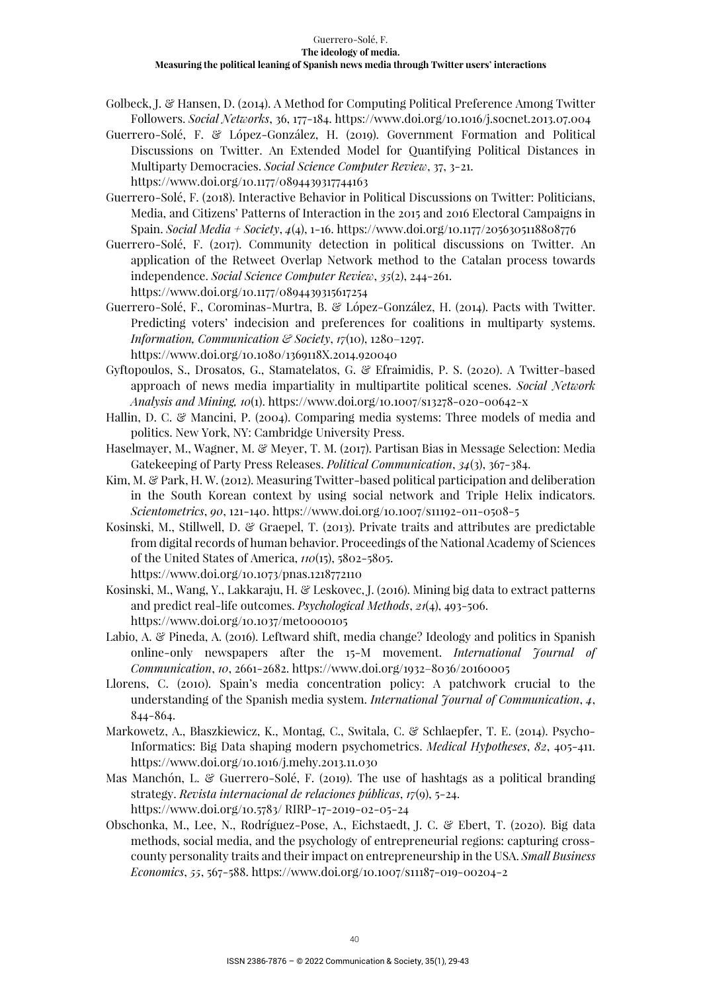- Golbeck, J. & Hansen, D. (2014). A Method for Computing Political Preference Among Twitter Followers. *Social Networks*, 36, 177-184. https://www.doi.org/10.1016/j.socnet.2013.07.004
- Guerrero-Solé, F. & López-González, H. (2019). Government Formation and Political Discussions on Twitter. An Extended Model for Quantifying Political Distances in Multiparty Democracies. *Social Science Computer Review*, 37, 3-21. https://www.doi.org/10.1177/0894439317744163
- Guerrero-Solé, F. (2018). Interactive Behavior in Political Discussions on Twitter: Politicians, Media, and Citizens' Patterns of Interaction in the 2015 and 2016 Electoral Campaigns in Spain. *Social Media + Society*, *4*(4), 1-16. https://www.doi.org/10.1177/2056305118808776
- Guerrero-Solé, F. (2017). Community detection in political discussions on Twitter. An application of the Retweet Overlap Network method to the Catalan process towards independence. *Social Science Computer Review*, *35*(2), 244-261. https://www.doi.org/10.1177/0894439315617254
- Guerrero-Solé, F., Corominas-Murtra, B. & López-González, H. (2014). Pacts with Twitter. Predicting voters' indecision and preferences for coalitions in multiparty systems. *Information, Communication & Society*, *17*(10), 1280–1297. https://www.doi.org/10.1080/1369118X.2014.920040
- Gyftopoulos, S., Drosatos, G., Stamatelatos, G. & Efraimidis, P. S. (2020). A Twitter-based approach of news media impartiality in multipartite political scenes. *Social Network Analysis and Mining, 10*(1). https://www.doi.org/10.1007/s13278-020-00642-x
- Hallin, D. C. & Mancini, P. (2004). Comparing media systems: Three models of media and politics. New York, NY: Cambridge University Press.
- Haselmayer, M., Wagner, M. & Meyer, T. M. (2017). Partisan Bias in Message Selection: Media Gatekeeping of Party Press Releases. *Political Communication*, *34*(3), 367-384.
- Kim, M. & Park, H. W. (2012). Measuring Twitter-based political participation and deliberation in the South Korean context by using social network and Triple Helix indicators. *Scientometrics*, *90*, 121-140. https://www.doi.org/10.1007/s11192-011-0508-5
- Kosinski, M., Stillwell, D. & Graepel, T. (2013). Private traits and attributes are predictable from digital records of human behavior. Proceedings of the National Academy of Sciences of the United States of America, *110*(15), 5802-5805. https://www.doi.org/10.1073/pnas.1218772110
- Kosinski, M., Wang, Y., Lakkaraju, H. & Leskovec, J. (2016). Mining big data to extract patterns and predict real-life outcomes. *Psychological Methods*, *21*(4), 493-506.
	- https://www.doi.org/10.1037/met0000105
- Labio, A. & Pineda, A. (2016). Leftward shift, media change? Ideology and politics in Spanish online-only newspapers after the 15-M movement. *International Journal of Communication*, *10*, 2661-2682. https://www.doi.org/1932–8036/20160005
- Llorens, C. (2010). Spain's media concentration policy: A patchwork crucial to the understanding of the Spanish media system. *International Journal of Communication*, *4*, 844-864.
- Markowetz, A., Błaszkiewicz, K., Montag, C., Switala, C. & Schlaepfer, T. E. (2014). Psycho-Informatics: Big Data shaping modern psychometrics. *Medical Hypotheses*, *82*, 405-411. https://www.doi.org/10.1016/j.mehy.2013.11.030
- Mas Manchón, L. & Guerrero-Solé, F. (2019). The use of hashtags as a political branding strategy. *Revista internacional de relaciones públicas*, *17*(9), 5-24. https://www.doi.org/10.5783/ RIRP-17-2019-02-05-24
- Obschonka, M., Lee, N., Rodríguez-Pose, A., Eichstaedt, J. C. & Ebert, T. (2020). Big data methods, social media, and the psychology of entrepreneurial regions: capturing crosscounty personality traits and their impact on entrepreneurship in the USA. *Small Business Economics*, *55*, 567-588. https://www.doi.org/10.1007/s11187-019-00204-2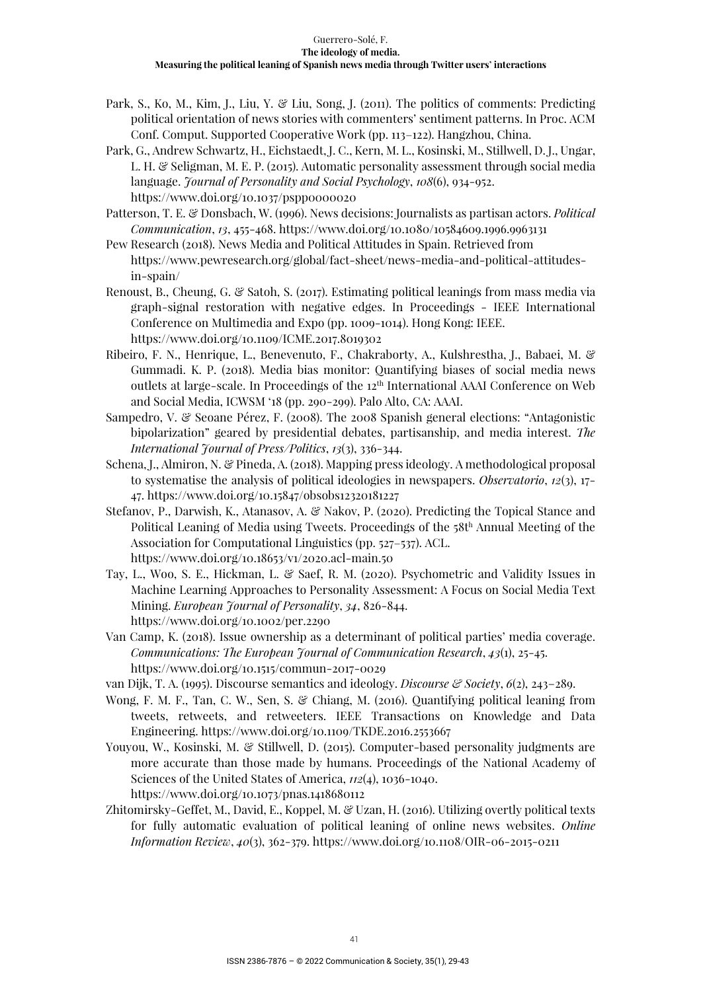- Park, S., Ko, M., Kim, J., Liu, Y. & Liu, Song, J. (2011). The politics of comments: Predicting political orientation of news stories with commenters' sentiment patterns. In Proc. ACM Conf. Comput. Supported Cooperative Work (pp. 113–122). Hangzhou, China.
- Park, G., Andrew Schwartz, H., Eichstaedt, J. C., Kern, M. L., Kosinski, M., Stillwell, D. J., Ungar, L. H. & Seligman, M. E. P. (2015). Automatic personality assessment through social media language. *Journal of Personality and Social Psychology*, *108*(6), 934-952. https://www.doi.org/10.1037/pspp0000020
- Patterson, T. E. & Donsbach, W. (1996). News decisions: Journalists as partisan actors. *Political Communication*, *13*, 455-468. https://www.doi.org/10.1080/10584609.1996.9963131
- Pew Research (2018). News Media and Political Attitudes in Spain. Retrieved from https://www.pewresearch.org/global/fact-sheet/news-media-and-political-attitudesin-spain/
- Renoust, B., Cheung, G. & Satoh, S. (2017). Estimating political leanings from mass media via graph-signal restoration with negative edges. In Proceedings - IEEE International Conference on Multimedia and Expo (pp. 1009-1014). Hong Kong: IEEE. https://www.doi.org/10.1109/ICME.2017.8019302
- Ribeiro, F. N., Henrique, L., Benevenuto, F., Chakraborty, A., Kulshrestha, J., Babaei, M. & Gummadi. K. P. (2018). Media bias monitor: Quantifying biases of social media news outlets at large-scale. In Proceedings of the 12th International AAAI Conference on Web and Social Media, ICWSM '18 (pp. 290-299). Palo Alto, CA: AAAI.
- Sampedro, V. & Seoane Pérez, F. (2008). The 2008 Spanish general elections: "Antagonistic bipolarization" geared by presidential debates, partisanship, and media interest. *The International Journal of Press/Politics*, *13*(3), 336-344.
- Schena, J., Almiron, N. & Pineda, A. (2018). Mapping press ideology. A methodological proposal to systematise the analysis of political ideologies in newspapers. *Observatorio*, *12*(3), 17- 47. https://www.doi.org/10.15847/obsobs12320181227
- Stefanov, P., Darwish, K., Atanasov, A. & Nakov, P. (2020). Predicting the Topical Stance and Political Leaning of Media using Tweets. Proceedings of the 58th Annual Meeting of the Association for Computational Linguistics (pp. 527–537). ACL. https://www.doi.org/10.18653/v1/2020.acl-main.50
- Tay, L., Woo, S. E., Hickman, L. & Saef, R. M. (2020). Psychometric and Validity Issues in Machine Learning Approaches to Personality Assessment: A Focus on Social Media Text Mining. *European Journal of Personality*, *34*, 826-844. https://www.doi.org/10.1002/per.2290
- Van Camp, K. (2018). Issue ownership as a determinant of political parties' media coverage. *Communications: The European Journal of Communication Research*, *43*(1), 25-45. https://www.doi.org/10.1515/commun-2017-0029
- van Dijk, T. A. (1995). Discourse semantics and ideology. *Discourse & Society*, *6*(2), 243-289.
- Wong, F. M. F., Tan, C. W., Sen, S. & Chiang, M. (2016). Quantifying political leaning from tweets, retweets, and retweeters. IEEE Transactions on Knowledge and Data Engineering. https://www.doi.org/10.1109/TKDE.2016.2553667
- Youyou, W., Kosinski, M. & Stillwell, D. (2015). Computer-based personality judgments are more accurate than those made by humans. Proceedings of the National Academy of Sciences of the United States of America, *112*(4), 1036-1040. https://www.doi.org/10.1073/pnas.1418680112
- Zhitomirsky-Geffet, M., David, E., Koppel, M. & Uzan, H. (2016). Utilizing overtly political texts for fully automatic evaluation of political leaning of online news websites. *Online Information Review*, *40*(3), 362-379. https://www.doi.org/10.1108/OIR-06-2015-0211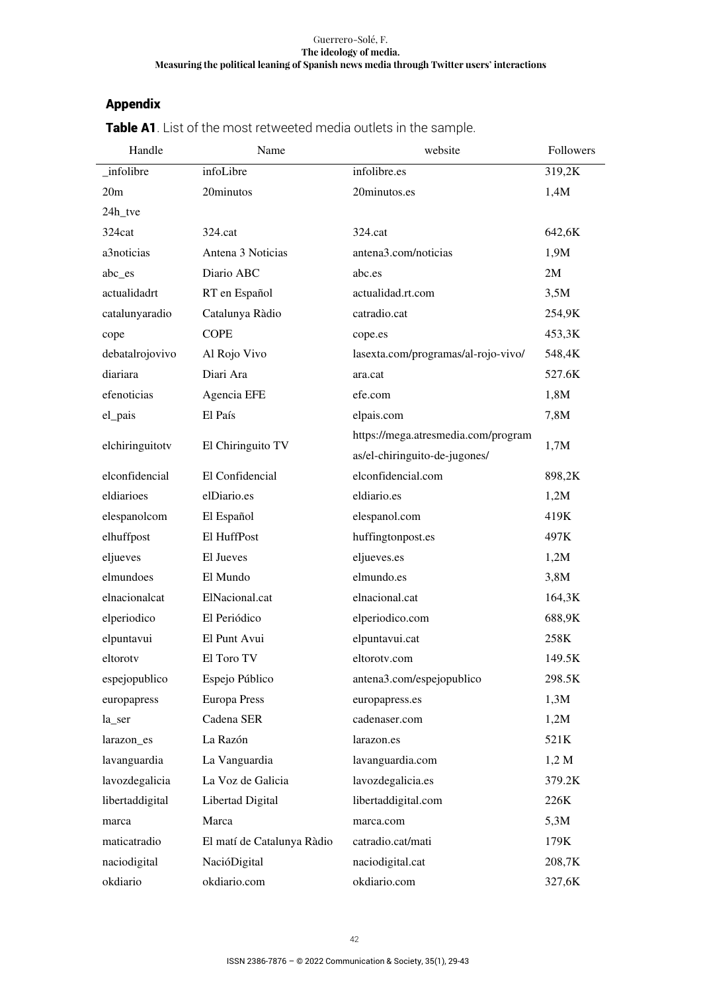## Appendix

| Handle          | Name                       | website                             | Followers |  |
|-----------------|----------------------------|-------------------------------------|-----------|--|
| _infolibre      | infoLibre                  | infolibre.es                        | 319,2K    |  |
| 20m             | 20minutos                  | 20minutos.es                        | 1,4M      |  |
| 24h_tve         |                            |                                     |           |  |
| 324cat          | 324.cat                    | 324.cat                             | 642,6K    |  |
| a3noticias      | Antena 3 Noticias          | antena3.com/noticias                | 1,9M      |  |
| abc_es          | Diario ABC                 | abc.es                              | 2M        |  |
| actualidadrt    | RT en Español              | actualidad.rt.com                   | 3,5M      |  |
| catalunyaradio  | Catalunya Ràdio            | catradio.cat                        | 254,9K    |  |
| cope            | <b>COPE</b>                | cope.es                             | 453,3K    |  |
| debatalrojovivo | Al Rojo Vivo               | lasexta.com/programas/al-rojo-vivo/ | 548,4K    |  |
| diariara        | Diari Ara                  | ara.cat                             | 527.6K    |  |
| efenoticias     | Agencia EFE                | efe.com                             | 1,8M      |  |
| el_pais         | El País                    | elpais.com                          | 7,8M      |  |
|                 |                            | https://mega.atresmedia.com/program |           |  |
| elchiringuitotv | El Chiringuito TV          | as/el-chiringuito-de-jugones/       | 1,7M      |  |
| elconfidencial  | El Confidencial            | elconfidencial.com                  | 898,2K    |  |
| eldiarioes      | elDiario.es                | eldiario.es                         | 1,2M      |  |
| elespanolcom    | El Español                 | elespanol.com                       | 419K      |  |
| elhuffpost      | El HuffPost                | huffingtonpost.es                   | 497K      |  |
| eljueves        | El Jueves                  | eljueves.es                         | 1,2M      |  |
| elmundoes       | El Mundo                   | elmundo.es                          | 3,8M      |  |
| elnacionalcat   | ElNacional.cat             | elnacional.cat                      | 164,3K    |  |
| elperiodico     | El Periódico               | elperiodico.com                     | 688,9K    |  |
| elpuntavui      | El Punt Avui               | elpuntavui.cat                      | 258K      |  |
| eltorotv        | El Toro TV                 | eltorotv.com                        | 149.5K    |  |
| espejopublico   | Espejo Público             | antena3.com/espejopublico           | 298.5K    |  |
| europapress     | <b>Europa Press</b>        | europapress.es                      | 1,3M      |  |
| la_ser          | Cadena SER                 | cadenaser.com                       | 1,2M      |  |
| larazon_es      | La Razón                   | larazon.es                          | 521K      |  |
| lavanguardia    | La Vanguardia              | lavanguardia.com                    | 1,2 M     |  |
| lavozdegalicia  | La Voz de Galicia          | lavozdegalicia.es                   | 379.2K    |  |
| libertaddigital | Libertad Digital           | libertaddigital.com                 | 226K      |  |
| marca           | Marca                      | marca.com                           | 5,3M      |  |
| maticatradio    | El matí de Catalunya Ràdio | catradio.cat/mati                   | 179K      |  |
| naciodigital    | NacióDigital               | naciodigital.cat                    | 208,7K    |  |
| okdiario        | okdiario.com               | okdiario.com                        | 327,6K    |  |

Table A1. List of the most retweeted media outlets in the sample.